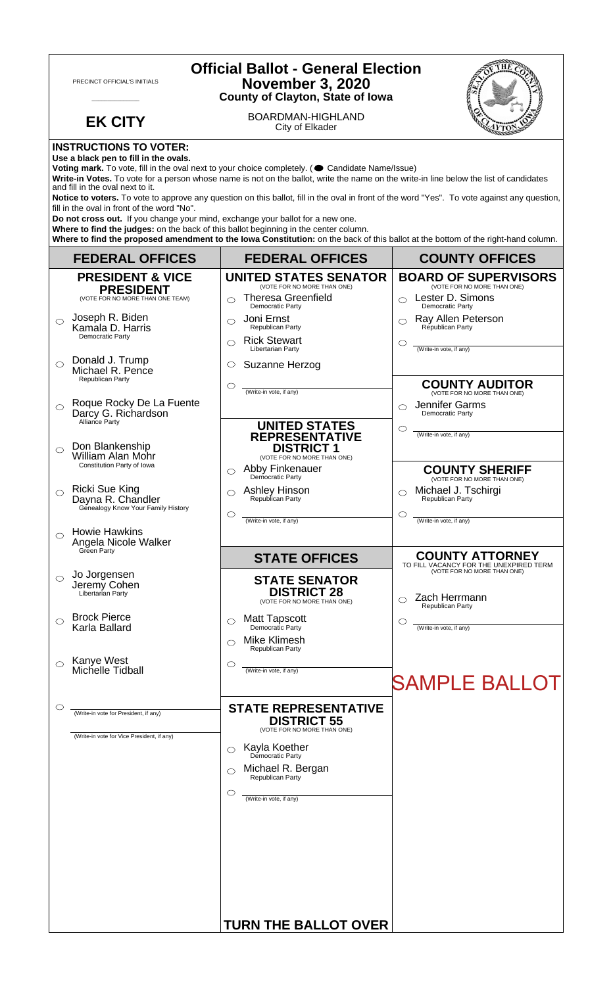| <b>Official Ballot - General Election</b><br><b>November 3, 2020</b><br>PRECINCT OFFICIAL'S INITIALS<br><b>County of Clayton, State of Iowa</b> |                                                                                                                                                                                                                                                                                                                                                                           |                                                                                                 |  |
|-------------------------------------------------------------------------------------------------------------------------------------------------|---------------------------------------------------------------------------------------------------------------------------------------------------------------------------------------------------------------------------------------------------------------------------------------------------------------------------------------------------------------------------|-------------------------------------------------------------------------------------------------|--|
| <b>EK CITY</b>                                                                                                                                  | <b>BOARDMAN-HIGHLAND</b><br>City of Elkader                                                                                                                                                                                                                                                                                                                               |                                                                                                 |  |
| <b>INSTRUCTIONS TO VOTER:</b><br>Use a black pen to fill in the ovals.<br>and fill in the oval next to it.                                      | Voting mark. To vote, fill in the oval next to your choice completely. ( Candidate Name/Issue)<br>Write-in Votes. To vote for a person whose name is not on the ballot, write the name on the write-in line below the list of candidates                                                                                                                                  |                                                                                                 |  |
| fill in the oval in front of the word "No".<br>Do not cross out. If you change your mind, exchange your ballot for a new one.                   | Notice to voters. To vote to approve any question on this ballot, fill in the oval in front of the word "Yes". To vote against any question,<br>Where to find the judges: on the back of this ballot beginning in the center column.<br>Where to find the proposed amendment to the lowa Constitution: on the back of this ballot at the bottom of the right-hand column. |                                                                                                 |  |
| <b>FEDERAL OFFICES</b>                                                                                                                          | <b>FEDERAL OFFICES</b>                                                                                                                                                                                                                                                                                                                                                    | <b>COUNTY OFFICES</b>                                                                           |  |
| <b>PRESIDENT &amp; VICE</b><br><b>PRESIDENT</b>                                                                                                 | <b>UNITED STATES SENATOR</b><br>(VOTE FOR NO MORE THAN ONE)                                                                                                                                                                                                                                                                                                               | <b>BOARD OF SUPERVISORS</b><br>(VOTE FOR NO MORE THAN ONE)                                      |  |
| (VOTE FOR NO MORE THAN ONE TEAM)                                                                                                                | <b>Theresa Greenfield</b><br>$\bigcap$<br>Democratic Party                                                                                                                                                                                                                                                                                                                | Lester D. Simons<br>Democratic Party                                                            |  |
| Joseph R. Biden<br>$\bigcirc$<br>Kamala D. Harris<br>Democratic Party                                                                           | Joni Ernst<br>◯<br>Republican Party<br><b>Rick Stewart</b>                                                                                                                                                                                                                                                                                                                | Ray Allen Peterson<br>◯<br>Republican Party<br>O                                                |  |
| Donald J. Trump<br>$\bigcirc$<br>Michael R. Pence<br>Republican Party                                                                           | Libertarian Party<br>Suzanne Herzog<br>$\circ$                                                                                                                                                                                                                                                                                                                            | (Write-in vote, if any)                                                                         |  |
| Roque Rocky De La Fuente<br>$\circ$<br>Darcy G. Richardson                                                                                      | ◯<br>(Write-in vote, if any)                                                                                                                                                                                                                                                                                                                                              | <b>COUNTY AUDITOR</b><br>(VOTE FOR NO MORE THAN ONE)<br>Jennifer Garms<br>◯<br>Democratic Party |  |
| Alliance Party<br>Don Blankenship<br>$\bigcirc$                                                                                                 | <b>UNITED STATES</b><br><b>REPRESENTATIVE</b><br><b>DISTRICT 1</b>                                                                                                                                                                                                                                                                                                        | ◯<br>(Write-in vote, if any)                                                                    |  |
| William Alan Mohr<br>Constitution Party of Iowa                                                                                                 | (VOTE FOR NO MORE THAN ONE)<br>Abby Finkenauer<br>Democratic Party                                                                                                                                                                                                                                                                                                        | <b>COUNTY SHERIFF</b><br>(VOTE FOR NO MORE THAN ONE)                                            |  |
| <b>Ricki Sue King</b><br>Dayna R. Chandler<br>Genealogy Know Your Family History                                                                | Ashley Hinson<br>Republican Party<br>$\circ$                                                                                                                                                                                                                                                                                                                              | Michael J. Tschirgi<br>Republican Party<br>O                                                    |  |
| <b>Howie Hawkins</b><br>$\bigcirc$<br>Angela Nicole Walker                                                                                      | (Write-in vote, if any)                                                                                                                                                                                                                                                                                                                                                   | (Write-in vote, if any)                                                                         |  |
| Green Party                                                                                                                                     | <b>STATE OFFICES</b>                                                                                                                                                                                                                                                                                                                                                      | <b>COUNTY ATTORNEY</b><br>TO FILL VACANCY FOR THE UNEXPIRED TERM                                |  |
| Jo Jorgensen<br>◯<br>Jeremy Cohen<br>Libertarian Party                                                                                          | <b>STATE SENATOR</b><br><b>DISTRICT 28</b><br>(VOTE FOR NO MORE THAN ONE)                                                                                                                                                                                                                                                                                                 | (VOTE FOR NO MORE THAN ONE)<br>Zach Herrmann<br>Republican Party                                |  |
| <b>Brock Pierce</b><br>◯<br>Karla Ballard                                                                                                       | <b>Matt Tapscott</b><br>◠<br>Democratic Party                                                                                                                                                                                                                                                                                                                             | O<br>(Write-in vote, if any)                                                                    |  |
| Kanye West<br>◯                                                                                                                                 | <b>Mike Klimesh</b><br>Republican Party<br>O                                                                                                                                                                                                                                                                                                                              |                                                                                                 |  |
| Michelle Tidball                                                                                                                                | (Write-in vote, if any)                                                                                                                                                                                                                                                                                                                                                   | <b>SAMPLE BALLOT</b>                                                                            |  |
| O<br>(Write-in vote for President, if any)                                                                                                      | <b>STATE REPRESENTATIVE</b><br><b>DISTRICT 55</b><br>(VOTE FOR NO MORE THAN ONE)                                                                                                                                                                                                                                                                                          |                                                                                                 |  |
| (Write-in vote for Vice President, if any)                                                                                                      | Kayla Koether<br>Democratic Party<br>⌒                                                                                                                                                                                                                                                                                                                                    |                                                                                                 |  |
|                                                                                                                                                 | Michael R. Bergan<br>◯<br>Republican Party                                                                                                                                                                                                                                                                                                                                |                                                                                                 |  |
|                                                                                                                                                 | ◯<br>(Write-in vote, if any)                                                                                                                                                                                                                                                                                                                                              |                                                                                                 |  |
|                                                                                                                                                 |                                                                                                                                                                                                                                                                                                                                                                           |                                                                                                 |  |
|                                                                                                                                                 |                                                                                                                                                                                                                                                                                                                                                                           |                                                                                                 |  |
|                                                                                                                                                 | <b>TURN THE BALLOT OVER</b>                                                                                                                                                                                                                                                                                                                                               |                                                                                                 |  |